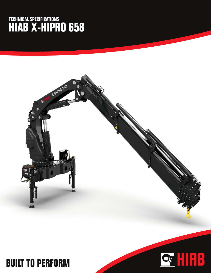## **TECHNICAL SPECIFICATIONS HIAB X-HIPRO 658**



QUIRE

## **BUILT TO PERFORM**